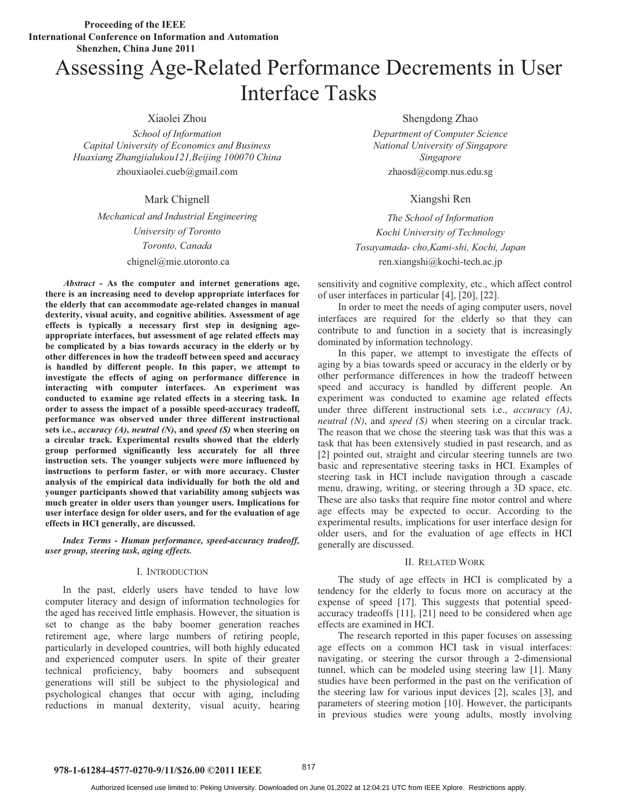# **Proceeding of the IEEE International Conference on Information and Automation Shenzhen, China June 2011**

# Assessing Age-Related Performance Decrements in User Interface Tasks

*Capital University of Economics and Business National University of Singapore Huaxiang Zhangjialukou121,Beijing 100070 China Singapore*  zhouxiaolei.cueb@gmail.com zhaosd@comp.nus.edu.sg

Mark Chignell Xiangshi Ren

*Mechanical and Industrial Engineering* The School of Information

*Abstract* **- As the computer and internet generations age, there is an increasing need to develop appropriate interfaces for the elderly that can accommodate age-related changes in manual dexterity, visual acuity, and cognitive abilities. Assessment of age effects is typically a necessary first step in designing ageappropriate interfaces, but assessment of age related effects may be complicated by a bias towards accuracy in the elderly or by other differences in how the tradeoff between speed and accuracy is handled by different people. In this paper, we attempt to investigate the effects of aging on performance difference in interacting with computer interfaces. An experiment was conducted to examine age related effects in a steering task. In order to assess the impact of a possible speed-accuracy tradeoff, performance was observed under three different instructional sets i.e.,** *accuracy (A)***,** *neutral (N)***, and** *speed (S)* **when steering on a circular track. Experimental results showed that the elderly group performed significantly less accurately for all three instruction sets. The younger subjects were more influenced by instructions to perform faster, or with more accuracy. Cluster analysis of the empirical data individually for both the old and younger participants showed that variability among subjects was much greater in older users than younger users. Implications for user interface design for older users, and for the evaluation of age effects in HCI generally, are discussed.** 

*Index Terms - Human performance, speed-accuracy tradeoff, user group, steering task, aging effects.* 

# I. INTRODUCTION

 In the past, elderly users have tended to have low computer literacy and design of information technologies for the aged has received little emphasis. However, the situation is set to change as the baby boomer generation reaches retirement age, where large numbers of retiring people, particularly in developed countries, will both highly educated and experienced computer users. In spite of their greater technical proficiency, baby boomers and subsequent generations will still be subject to the physiological and psychological changes that occur with aging, including reductions in manual dexterity, visual acuity, hearing

Xiaolei Zhou Shengdong Zhao

*School of Information Department of Computer Science* 

*University of Toronto Kochi University of Technology Toronto, Canada Tosayamada- cho,Kami-shi, Kochi, Japan*  chignel@mie.utoronto.ca ren.xiangshi@kochi-tech.ac.jp

> sensitivity and cognitive complexity, etc., which affect control of user interfaces in particular [4], [20], [22].

> In order to meet the needs of aging computer users, novel interfaces are required for the elderly so that they can contribute to and function in a society that is increasingly dominated by information technology.

> In this paper, we attempt to investigate the effects of aging by a bias towards speed or accuracy in the elderly or by other performance differences in how the tradeoff between speed and accuracy is handled by different people. An experiment was conducted to examine age related effects under three different instructional sets i.e., *accuracy (A)*, *neutral (N)*, and *speed (S)* when steering on a circular track. The reason that we chose the steering task was that this was a task that has been extensively studied in past research, and as [2] pointed out, straight and circular steering tunnels are two basic and representative steering tasks in HCI. Examples of steering task in HCI include navigation through a cascade menu, drawing, writing, or steering through a 3D space, etc. These are also tasks that require fine motor control and where age effects may be expected to occur. According to the experimental results, implications for user interface design for older users, and for the evaluation of age effects in HCI generally are discussed.

# II. RELATED WORK

The study of age effects in HCI is complicated by a tendency for the elderly to focus more on accuracy at the expense of speed [17]. This suggests that potential speedaccuracy tradeoffs [11], [21] need to be considered when age effects are examined in HCI.

The research reported in this paper focuses on assessing age effects on a common HCI task in visual interfaces: navigating, or steering the cursor through a 2-dimensional tunnel, which can be modeled using steering law [1]. Many studies have been performed in the past on the verification of the steering law for various input devices [2], scales [3], and parameters of steering motion [10]. However, the participants in previous studies were young adults, mostly involving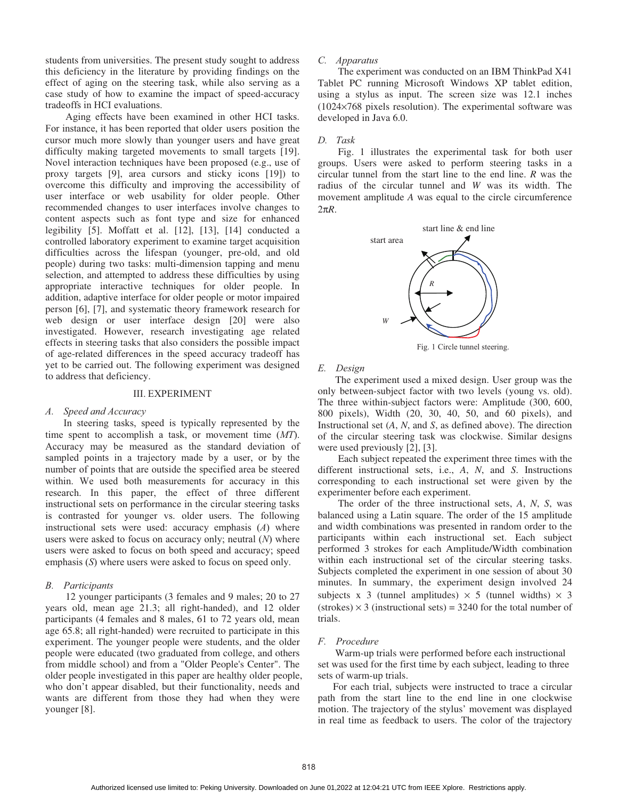students from universities. The present study sought to address this deficiency in the literature by providing findings on the effect of aging on the steering task, while also serving as a case study of how to examine the impact of speed-accuracy tradeoffs in HCI evaluations.

Aging effects have been examined in other HCI tasks. For instance, it has been reported that older users position the cursor much more slowly than younger users and have great difficulty making targeted movements to small targets [19]. Novel interaction techniques have been proposed (e.g., use of proxy targets [9], area cursors and sticky icons [19]) to overcome this difficulty and improving the accessibility of user interface or web usability for older people. Other recommended changes to user interfaces involve changes to content aspects such as font type and size for enhanced legibility [5]. Moffatt et al. [12], [13], [14] conducted a controlled laboratory experiment to examine target acquisition difficulties across the lifespan (younger, pre-old, and old people) during two tasks: multi-dimension tapping and menu selection, and attempted to address these difficulties by using appropriate interactive techniques for older people. In addition, adaptive interface for older people or motor impaired person [6], [7], and systematic theory framework research for web design or user interface design [20] were also investigated. However, research investigating age related effects in steering tasks that also considers the possible impact of age-related differences in the speed accuracy tradeoff has yet to be carried out. The following experiment was designed to address that deficiency.

# III. EXPERIMENT

#### *A. Speed and Accuracy*

 In steering tasks, speed is typically represented by the time spent to accomplish a task, or movement time (*MT*). Accuracy may be measured as the standard deviation of sampled points in a trajectory made by a user, or by the number of points that are outside the specified area be steered within. We used both measurements for accuracy in this research. In this paper, the effect of three different instructional sets on performance in the circular steering tasks is contrasted for younger vs. older users. The following instructional sets were used: accuracy emphasis (*A*) where users were asked to focus on accuracy only; neutral (*N*) where users were asked to focus on both speed and accuracy; speed emphasis (*S*) where users were asked to focus on speed only.

#### *B. Participants*

12 younger participants (3 females and 9 males; 20 to 27 years old, mean age 21.3; all right-handed), and 12 older participants (4 females and 8 males, 61 to 72 years old, mean age 65.8; all right-handed) were recruited to participate in this experiment. The younger people were students, and the older people were educated (two graduated from college, and others from middle school) and from a "Older People's Center". The older people investigated in this paper are healthy older people, who don't appear disabled, but their functionality, needs and wants are different from those they had when they were younger [8].

#### *C. Apparatus*

The experiment was conducted on an IBM ThinkPad X41 Tablet PC running Microsoft Windows XP tablet edition, using a stylus as input. The screen size was 12.1 inches (1024×768 pixels resolution). The experimental software was developed in Java 6.0.

#### *D. Task*

Fig. 1 illustrates the experimental task for both user groups. Users were asked to perform steering tasks in a circular tunnel from the start line to the end line. *R* was the radius of the circular tunnel and *W* was its width. The movement amplitude *A* was equal to the circle circumference 2π*R*.



#### Fig. 1 Circle tunnel steering.

# *E. Design*

The experiment used a mixed design. User group was the only between-subject factor with two levels (young vs. old). The three within-subject factors were: Amplitude (300, 600, 800 pixels), Width (20, 30, 40, 50, and 60 pixels), and Instructional set (*A*, *N*, and *S*, as defined above). The direction of the circular steering task was clockwise. Similar designs were used previously [2], [3].

Each subject repeated the experiment three times with the different instructional sets, i.e., *A*, *N*, and *S*. Instructions corresponding to each instructional set were given by the experimenter before each experiment.

The order of the three instructional sets, *A*, *N*, *S*, was balanced using a Latin square. The order of the 15 amplitude and width combinations was presented in random order to the participants within each instructional set. Each subject performed 3 strokes for each Amplitude/Width combination within each instructional set of the circular steering tasks. Subjects completed the experiment in one session of about 30 minutes. In summary, the experiment design involved 24 subjects x 3 (tunnel amplitudes)  $\times$  5 (tunnel widths)  $\times$  3  $(\text{strokes}) \times 3$  (instructional sets) = 3240 for the total number of trials.

#### *F. Procedure*

Warm-up trials were performed before each instructional set was used for the first time by each subject, leading to three sets of warm-up trials.

For each trial, subjects were instructed to trace a circular path from the start line to the end line in one clockwise motion. The trajectory of the stylus' movement was displayed in real time as feedback to users. The color of the trajectory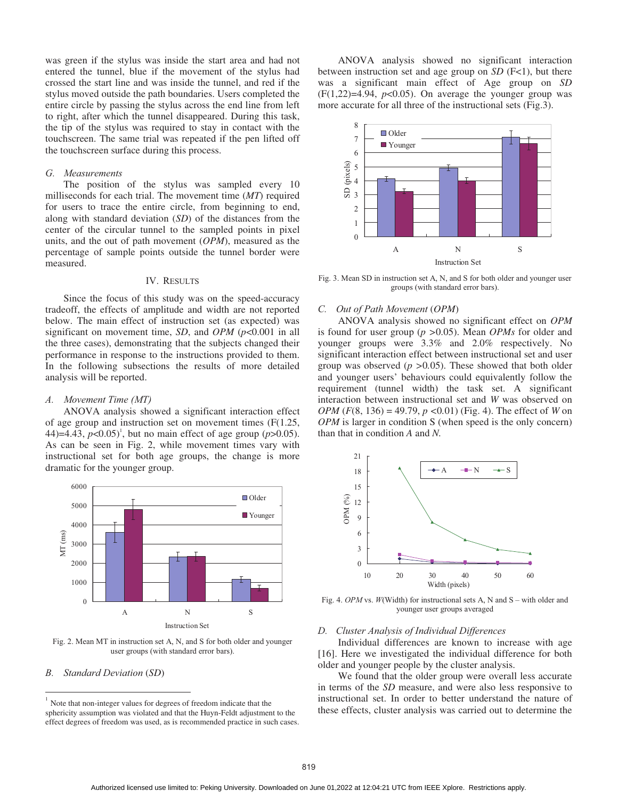was green if the stylus was inside the start area and had not entered the tunnel, blue if the movement of the stylus had crossed the start line and was inside the tunnel, and red if the stylus moved outside the path boundaries. Users completed the entire circle by passing the stylus across the end line from left to right, after which the tunnel disappeared. During this task, the tip of the stylus was required to stay in contact with the touchscreen. The same trial was repeated if the pen lifted off the touchscreen surface during this process.

# *G. Measurements*

The position of the stylus was sampled every 10 milliseconds for each trial. The movement time (*MT*) required for users to trace the entire circle, from beginning to end, along with standard deviation (*SD*) of the distances from the center of the circular tunnel to the sampled points in pixel units, and the out of path movement (*OPM*), measured as the percentage of sample points outside the tunnel border were measured.

# IV. RESULTS

Since the focus of this study was on the speed-accuracy tradeoff, the effects of amplitude and width are not reported below. The main effect of instruction set (as expected) was significant on movement time, *SD*, and *OPM* (*p*<0.001 in all the three cases), demonstrating that the subjects changed their performance in response to the instructions provided to them. In the following subsections the results of more detailed analysis will be reported.

### *A. Movement Time (MT)*

ANOVA analysis showed a significant interaction effect of age group and instruction set on movement times (F(1.25, 44)=4.43,  $p < 0.05$ <sup>1</sup>, but no main effect of age group ( $p > 0.05$ ). As can be seen in Fig. 2, while movement times vary with instructional set for both age groups, the change is more dramatic for the younger group.



Fig. 2. Mean MT in instruction set A, N, and S for both older and younger user groups (with standard error bars).

#### *B. Standard Deviation* (*SD*)

-

ANOVA analysis showed no significant interaction between instruction set and age group on  $SD$  ( $F<1$ ), but there was a significant main effect of Age group on *SD*  $(F(1,22)=4.94, p<0.05)$ . On average the younger group was more accurate for all three of the instructional sets (Fig.3).



Fig. 3. Mean SD in instruction set A, N, and S for both older and younger user groups (with standard error bars).

# *C. Out of Path Movement* (*OPM*)

ANOVA analysis showed no significant effect on *OPM* is found for user group (*p >*0.05). Mean *OPMs* for older and younger groups were 3.3% and 2.0% respectively. No significant interaction effect between instructional set and user group was observed (*p >*0*.*05). These showed that both older and younger users' behaviours could equivalently follow the requirement (tunnel width) the task set. A significant interaction between instructional set and *W* was observed on *OPM* (*F*(8, 136) = 49.79, *p <*0*.*01) (Fig. 4). The effect of *W* on *OPM* is larger in condition S (when speed is the only concern) than that in condition *A* and *N.*



Fig. 4. *OPM* vs. *W*(Width) for instructional sets A, N and S – with older and younger user groups averaged

# *D. Cluster Analysis of Individual Differences*

Individual differences are known to increase with age [16]. Here we investigated the individual difference for both older and younger people by the cluster analysis.

We found that the older group were overall less accurate in terms of the *SD* measure, and were also less responsive to instructional set. In order to better understand the nature of these effects, cluster analysis was carried out to determine the

<sup>1</sup> Note that non-integer values for degrees of freedom indicate that the sphericity assumption was violated and that the Huyn-Feldt adjustment to the effect degrees of freedom was used, as is recommended practice in such cases.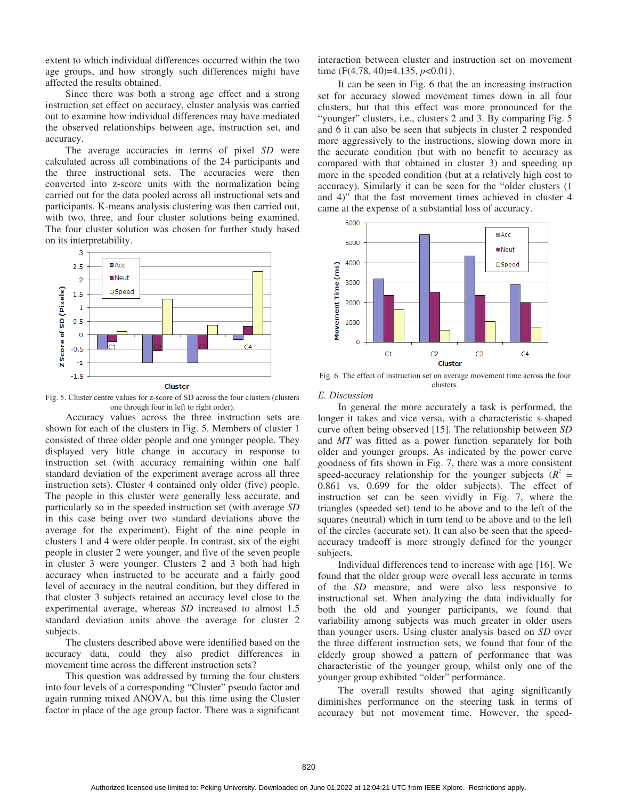extent to which individual differences occurred within the two age groups, and how strongly such differences might have affected the results obtained.

Since there was both a strong age effect and a strong instruction set effect on accuracy, cluster analysis was carried out to examine how individual differences may have mediated the observed relationships between age, instruction set, and accuracy.

The average accuracies in terms of pixel *SD* were calculated across all combinations of the 24 participants and the three instructional sets. The accuracies were then converted into z-score units with the normalization being carried out for the data pooled across all instructional sets and participants. K-means analysis clustering was then carried out, with two, three, and four cluster solutions being examined. The four cluster solution was chosen for further study based on its interpretability.



Fig. 5. Cluster centre values for z-score of SD across the four clusters (clusters one through four in left to right order).

Accuracy values across the three instruction sets are shown for each of the clusters in Fig. 5. Members of cluster 1 consisted of three older people and one younger people. They displayed very little change in accuracy in response to instruction set (with accuracy remaining within one half standard deviation of the experiment average across all three instruction sets). Cluster 4 contained only older (five) people. The people in this cluster were generally less accurate, and particularly so in the speeded instruction set (with average *SD* in this case being over two standard deviations above the average for the experiment). Eight of the nine people in clusters 1 and 4 were older people. In contrast, six of the eight people in cluster 2 were younger, and five of the seven people in cluster 3 were younger. Clusters 2 and 3 both had high accuracy when instructed to be accurate and a fairly good level of accuracy in the neutral condition, but they differed in that cluster 3 subjects retained an accuracy level close to the experimental average, whereas *SD* increased to almost 1.5 standard deviation units above the average for cluster 2 subjects.

The clusters described above were identified based on the accuracy data, could they also predict differences in movement time across the different instruction sets?

This question was addressed by turning the four clusters into four levels of a corresponding "Cluster" pseudo factor and again running mixed ANOVA, but this time using the Cluster factor in place of the age group factor. There was a significant

interaction between cluster and instruction set on movement time (F(4.78, 40)=4.135, *p*<0.01).

It can be seen in Fig. 6 that the an increasing instruction set for accuracy slowed movement times down in all four clusters, but that this effect was more pronounced for the "younger" clusters, i.e., clusters 2 and 3. By comparing Fig. 5 and 6 it can also be seen that subjects in cluster 2 responded more aggressively to the instructions, slowing down more in the accurate condition (but with no benefit to accuracy as compared with that obtained in cluster 3) and speeding up more in the speeded condition (but at a relatively high cost to accuracy). Similarly it can be seen for the "older clusters (1 and 4)" that the fast movement times achieved in cluster 4 came at the expense of a substantial loss of accuracy.



Fig. 6. The effect of instruction set on average movement time across the four clusters.

# *E. Discussion*

In general the more accurately a task is performed, the longer it takes and vice versa, with a characteristic s-shaped curve often being observed [15]. The relationship between *SD* and *MT* was fitted as a power function separately for both older and younger groups. As indicated by the power curve goodness of fits shown in Fig. 7, there was a more consistent speed-accuracy relationship for the younger subjects  $(R^2 =$ 0.861 vs. 0.699 for the older subjects). The effect of instruction set can be seen vividly in Fig. 7, where the triangles (speeded set) tend to be above and to the left of the squares (neutral) which in turn tend to be above and to the left of the circles (accurate set). It can also be seen that the speedaccuracy tradeoff is more strongly defined for the younger subjects.

Individual differences tend to increase with age [16]. We found that the older group were overall less accurate in terms of the *SD* measure, and were also less responsive to instructional set. When analyzing the data individually for both the old and younger participants, we found that variability among subjects was much greater in older users than younger users. Using cluster analysis based on *SD* over the three different instruction sets, we found that four of the elderly group showed a pattern of performance that was characteristic of the younger group, whilst only one of the younger group exhibited "older" performance.

The overall results showed that aging significantly diminishes performance on the steering task in terms of accuracy but not movement time. However, the speed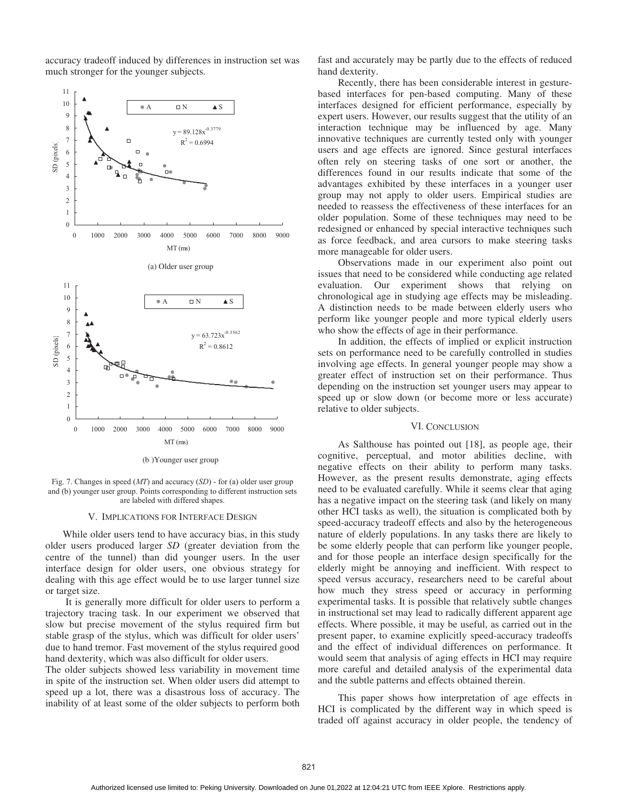accuracy tradeoff induced by differences in instruction set was much stronger for the younger subjects.



(b )Younger user group

Fig. 7. Changes in speed (*MT*) and accuracy (*SD*) - for (a) older user group and (b) younger user group. Points corresponding to different instruction sets are labeled with differed shapes.

#### V. IMPLICATIONS FOR INTERFACE DESIGN

While older users tend to have accuracy bias, in this study older users produced larger *SD* (greater deviation from the centre of the tunnel) than did younger users. In the user interface design for older users, one obvious strategy for dealing with this age effect would be to use larger tunnel size or target size.

It is generally more difficult for older users to perform a trajectory tracing task. In our experiment we observed that slow but precise movement of the stylus required firm but stable grasp of the stylus, which was difficult for older users' due to hand tremor. Fast movement of the stylus required good hand dexterity, which was also difficult for older users.

The older subjects showed less variability in movement time in spite of the instruction set. When older users did attempt to speed up a lot, there was a disastrous loss of accuracy. The inability of at least some of the older subjects to perform both fast and accurately may be partly due to the effects of reduced hand dexterity.

Recently, there has been considerable interest in gesturebased interfaces for pen-based computing. Many of these interfaces designed for efficient performance, especially by expert users. However, our results suggest that the utility of an interaction technique may be influenced by age. Many innovative techniques are currently tested only with younger users and age effects are ignored. Since gestural interfaces often rely on steering tasks of one sort or another, the differences found in our results indicate that some of the advantages exhibited by these interfaces in a younger user group may not apply to older users. Empirical studies are needed to reassess the effectiveness of these interfaces for an older population. Some of these techniques may need to be redesigned or enhanced by special interactive techniques such as force feedback, and area cursors to make steering tasks more manageable for older users.

Observations made in our experiment also point out issues that need to be considered while conducting age related evaluation. Our experiment shows that relying on chronological age in studying age effects may be misleading. A distinction needs to be made between elderly users who perform like younger people and more typical elderly users who show the effects of age in their performance.

In addition, the effects of implied or explicit instruction sets on performance need to be carefully controlled in studies involving age effects. In general younger people may show a greater effect of instruction set on their performance. Thus depending on the instruction set younger users may appear to speed up or slow down (or become more or less accurate) relative to older subjects.

## VI. CONCLUSION

As Salthouse has pointed out [18], as people age, their cognitive, perceptual, and motor abilities decline, with negative effects on their ability to perform many tasks. However, as the present results demonstrate, aging effects need to be evaluated carefully. While it seems clear that aging has a negative impact on the steering task (and likely on many other HCI tasks as well), the situation is complicated both by speed-accuracy tradeoff effects and also by the heterogeneous nature of elderly populations. In any tasks there are likely to be some elderly people that can perform like younger people, and for those people an interface design specifically for the elderly might be annoying and inefficient. With respect to speed versus accuracy, researchers need to be careful about how much they stress speed or accuracy in performing experimental tasks. It is possible that relatively subtle changes in instructional set may lead to radically different apparent age effects. Where possible, it may be useful, as carried out in the present paper, to examine explicitly speed-accuracy tradeoffs and the effect of individual differences on performance. It would seem that analysis of aging effects in HCI may require more careful and detailed analysis of the experimental data and the subtle patterns and effects obtained therein.

This paper shows how interpretation of age effects in HCI is complicated by the different way in which speed is traded off against accuracy in older people, the tendency of